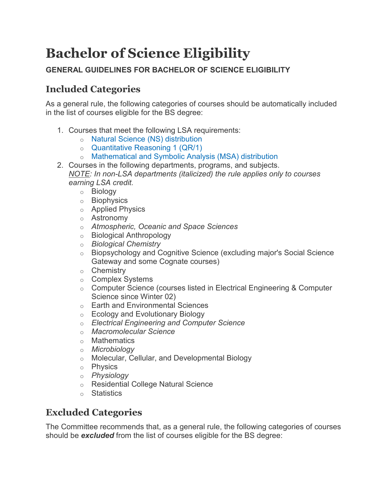## **Bachelor of Science Eligibility**

## **GENERAL GUIDELINES FOR BACHELOR OF SCIENCE ELIGIBILITY**

## **Included Categories**

As a general rule, the following categories of courses should be automatically included in the list of courses eligible for the BS degree:

- 1. Courses that meet the following LSA requirements:
	- o Natural Science (NS) [distribution](http://lsa.umich.edu/lsa/academics/lsa-requirements/area-distribution-requirement.html)
	- o [Quantitative](http://lsa.umich.edu/lsa/academics/lsa-requirements/quantitative-reasoning-requirement.html) Reasoning 1 (QR/1)
	- o [Mathematical](http://lsa.umich.edu/lsa/academics/lsa-requirements/area-distribution-requirement.html) and Symbolic Analysis (MSA) distribution
- 2. Courses in the following departments, programs, and subjects. *NOTE: In non-LSA departments (italicized) the rule applies only to courses earning LSA credit.*
	- o Biology
	- o Biophysics
	- o Applied Physics
	- o Astronomy
	- o *Atmospheric, Oceanic and Space Sciences*
	- o Biological Anthropology
	- o *Biological Chemistry*
	- o Biopsychology and Cognitive Science (excluding major's Social Science Gateway and some Cognate courses)
	- o Chemistry
	- o Complex Systems
	- o Computer Science (courses listed in Electrical Engineering & Computer Science since Winter 02)
	- o Earth and Environmental Sciences
	- o Ecology and Evolutionary Biology
	- o *Electrical Engineering and Computer Science*
	- o *Macromolecular Science*
	- o Mathematics
	- o *Microbiology*
	- o Molecular, Cellular, and Developmental Biology
	- o Physics
	- o *Physiology*
	- o Residential College Natural Science
	- o Statistics

## **Excluded Categories**

The Committee recommends that, as a general rule, the following categories of courses should be *excluded* from the list of courses eligible for the BS degree: